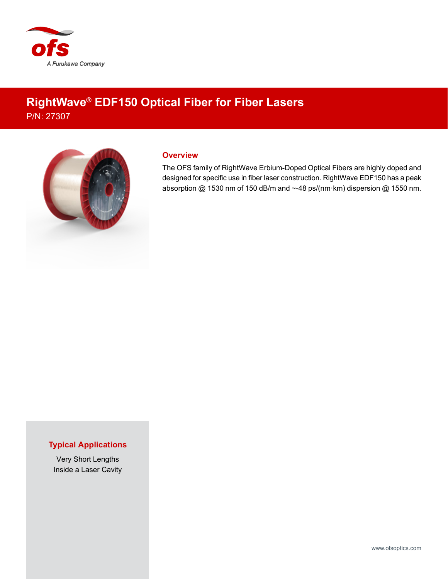

## **RightWave® EDF150 Optical Fiber for Fiber Lasers** P/N: 27307



## **Overview**

The OFS family of RightWave Erbium-Doped Optical Fibers are highly doped and designed for specific use in fiber laser construction. RightWave EDF150 has a peak absorption @ 1530 nm of 150 dB/m and ~-48 ps/(nm·km) dispersion @ 1550 nm.

## **Typical Applications**

Very Short Lengths Inside a Laser Cavity